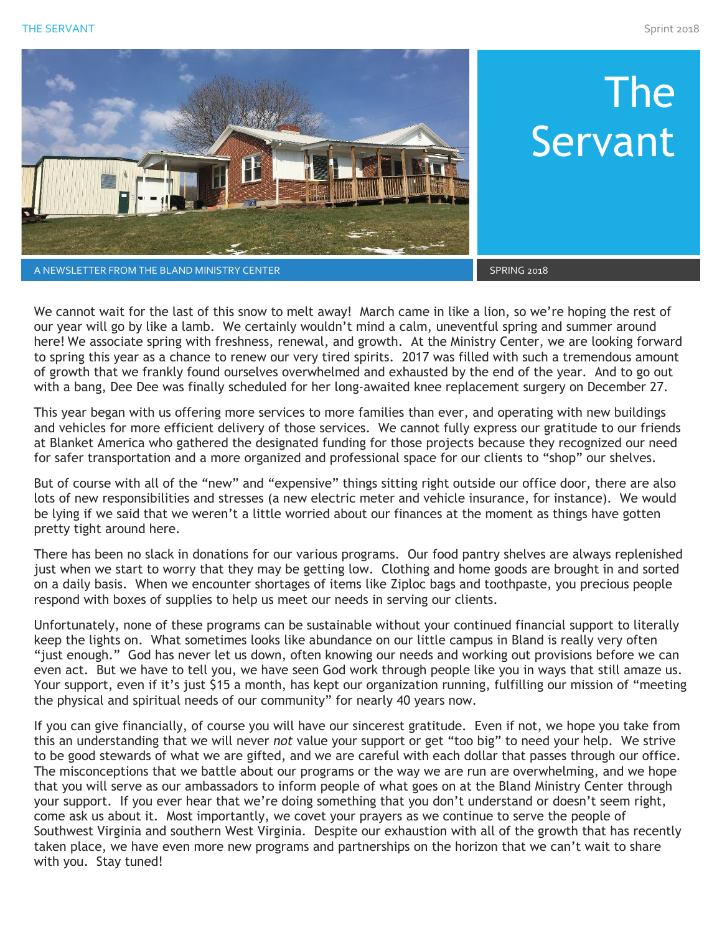THE SERVANT Sprint 2018



A NEWSLETTER FROM THE BLAND MINISTRY CENTER SPRING 2018 AND RESIDENCE IN A SPRING 2018

We cannot wait for the last of this snow to melt away! March came in like a lion, so we're hoping the rest of our year will go by like a lamb. We certainly wouldn't mind a calm, uneventful spring and summer around here! We associate spring with freshness, renewal, and growth. At the Ministry Center, we are looking forward to spring this year as a chance to renew our very tired spirits. 2017 was filled with such a tremendous amount of growth that we frankly found ourselves overwhelmed and exhausted by the end of the year. And to go out with a bang, Dee Dee was finally scheduled for her long-awaited knee replacement surgery on December 27.

This year began with us offering more services to more families than ever, and operating with new buildings and vehicles for more efficient delivery of those services. We cannot fully express our gratitude to our friends at Blanket America who gathered the designated funding for those projects because they recognized our need for safer transportation and a more organized and professional space for our clients to "shop" our shelves.

But of course with all of the "new" and "expensive" things sitting right outside our office door, there are also lots of new responsibilities and stresses (a new electric meter and vehicle insurance, for instance). We would be lying if we said that we weren't a little worried about our finances at the moment as things have gotten pretty tight around here.

There has been no slack in donations for our various programs. Our food pantry shelves are always replenished just when we start to worry that they may be getting low. Clothing and home goods are brought in and sorted on a daily basis. When we encounter shortages of items like Ziploc bags and toothpaste, you precious people respond with boxes of supplies to help us meet our needs in serving our clients.

Unfortunately, none of these programs can be sustainable without your continued financial support to literally keep the lights on. What sometimes looks like abundance on our little campus in Bland is really very often "just enough." God has never let us down, often knowing our needs and working out provisions before we can even act. But we have to tell you, we have seen God work through people like you in ways that still amaze us. Your support, even if it's just \$15 a month, has kept our organization running, fulfilling our mission of "meeting the physical and spiritual needs of our community" for nearly 40 years now.

If you can give financially, of course you will have our sincerest gratitude. Even if not, we hope you take from this an understanding that we will never *not* value your support or get "too big" to need your help. We strive to be good stewards of what we are gifted, and we are careful with each dollar that passes through our office. The misconceptions that we battle about our programs or the way we are run are overwhelming, and we hope that you will serve as our ambassadors to inform people of what goes on at the Bland Ministry Center through your support. If you ever hear that we're doing something that you don't understand or doesn't seem right, come ask us about it. Most importantly, we covet your prayers as we continue to serve the people of Southwest Virginia and southern West Virginia. Despite our exhaustion with all of the growth that has recently taken place, we have even more new programs and partnerships on the horizon that we can't wait to share with you. Stay tuned!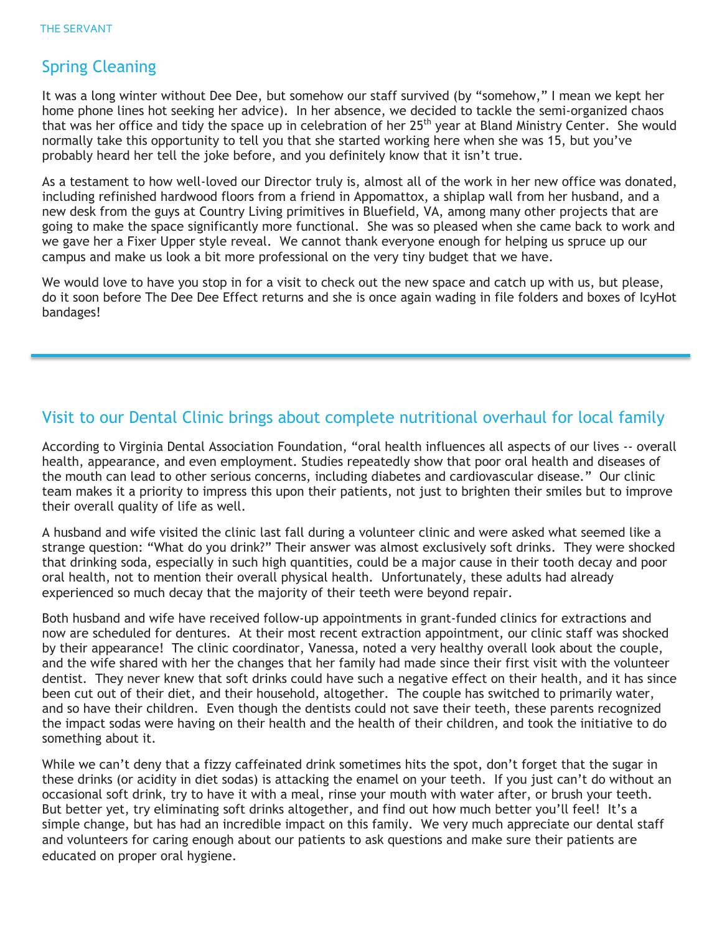#### Spring Cleaning

It was a long winter without Dee Dee, but somehow our staff survived (by "somehow," I mean we kept her home phone lines hot seeking her advice). In her absence, we decided to tackle the semi-organized chaos that was her office and tidy the space up in celebration of her 25<sup>th</sup> year at Bland Ministry Center. She would normally take this opportunity to tell you that she started working here when she was 15, but you've probably heard her tell the joke before, and you definitely know that it isn't true.

As a testament to how well-loved our Director truly is, almost all of the work in her new office was donated, including refinished hardwood floors from a friend in Appomattox, a shiplap wall from her husband, and a new desk from the guys at Country Living primitives in Bluefield, VA, among many other projects that are going to make the space significantly more functional. She was so pleased when she came back to work and we gave her a Fixer Upper style reveal. We cannot thank everyone enough for helping us spruce up our campus and make us look a bit more professional on the very tiny budget that we have.

We would love to have you stop in for a visit to check out the new space and catch up with us, but please, do it soon before The Dee Dee Effect returns and she is once again wading in file folders and boxes of IcyHot bandages!

#### Visit to our Dental Clinic brings about complete nutritional overhaul for local family

According to Virginia Dental Association Foundation, "oral health influences all aspects of our lives -- overall health, appearance, and even employment. Studies repeatedly show that poor oral health and diseases of the mouth can lead to other serious concerns, including diabetes and cardiovascular disease." Our clinic team makes it a priority to impress this upon their patients, not just to brighten their smiles but to improve their overall quality of life as well.

A husband and wife visited the clinic last fall during a volunteer clinic and were asked what seemed like a strange question: "What do you drink?" Their answer was almost exclusively soft drinks. They were shocked that drinking soda, especially in such high quantities, could be a major cause in their tooth decay and poor oral health, not to mention their overall physical health. Unfortunately, these adults had already experienced so much decay that the majority of their teeth were beyond repair.

Both husband and wife have received follow-up appointments in grant-funded clinics for extractions and now are scheduled for dentures. At their most recent extraction appointment, our clinic staff was shocked by their appearance! The clinic coordinator, Vanessa, noted a very healthy overall look about the couple, and the wife shared with her the changes that her family had made since their first visit with the volunteer dentist. They never knew that soft drinks could have such a negative effect on their health, and it has since been cut out of their diet, and their household, altogether. The couple has switched to primarily water, and so have their children. Even though the dentists could not save their teeth, these parents recognized the impact sodas were having on their health and the health of their children, and took the initiative to do something about it.

While we can't deny that a fizzy caffeinated drink sometimes hits the spot, don't forget that the sugar in these drinks (or acidity in diet sodas) is attacking the enamel on your teeth. If you just can't do without an occasional soft drink, try to have it with a meal, rinse your mouth with water after, or brush your teeth. But better yet, try eliminating soft drinks altogether, and find out how much better you'll feel! It's a simple change, but has had an incredible impact on this family. We very much appreciate our dental staff and volunteers for caring enough about our patients to ask questions and make sure their patients are educated on proper oral hygiene.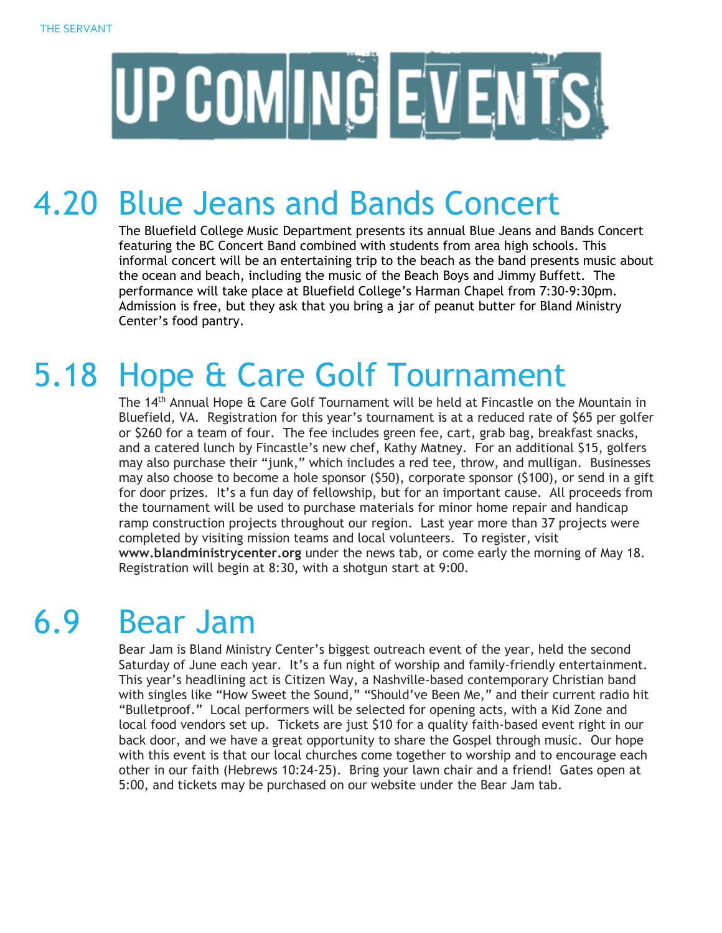

## 4.20 Blue Jeans and Bands Concert

The Bluefield College Music Department presents its annual Blue Jeans and Bands Concert featuring the BC Concert Band combined with students from area high schools. This informal concert will be an entertaining trip to the beach as the band presents music about the ocean and beach, including the music of the Beach Boys and Jimmy Buffett. The performance will take place at Bluefield College's Harman Chapel from 7:30-9:30pm. Admission is free, but they ask that you bring a jar of peanut butter for Bland Ministry Center's food pantry.

## 5.18 Hope & Care Golf Tournament

The 14<sup>th</sup> Annual Hope & Care Golf Tournament will be held at Fincastle on the Mountain in Bluefield, VA. Registration for this year's tournament is at a reduced rate of \$65 per golfer or \$260 for a team of four. The fee includes green fee, cart, grab bag, breakfast snacks, and a catered lunch by Fincastle's new chef, Kathy Matney. For an additional \$15, golfers may also purchase their "junk," which includes a red tee, throw, and mulligan. Businesses may also choose to become a hole sponsor (\$50), corporate sponsor (\$100), or send in a gift for door prizes. It's a fun day of fellowship, but for an important cause. All proceeds from the tournament will be used to purchase materials for minor home repair and handicap ramp construction projects throughout our region. Last year more than 37 projects were completed by visiting mission teams and local volunteers. To register, visit **www.blandministrycenter.org** under the news tab, or come early the morning of May 18. Registration will begin at 8:30, with a shotgun start at 9:00.

# 6.9 Bear Jam

Bear Jam is Bland Ministry Center's biggest outreach event of the year, held the second Saturday of June each year. It's a fun night of worship and family-friendly entertainment. This year's headlining act is Citizen Way, a Nashville-based contemporary Christian band with singles like "How Sweet the Sound," "Should've Been Me," and their current radio hit "Bulletproof." Local performers will be selected for opening acts, with a Kid Zone and local food vendors set up. Tickets are just \$10 for a quality faith-based event right in our back door, and we have a great opportunity to share the Gospel through music. Our hope with this event is that our local churches come together to worship and to encourage each other in our faith (Hebrews 10:24-25). Bring your lawn chair and a friend! Gates open at 5:00, and tickets may be purchased on our website under the Bear Jam tab.